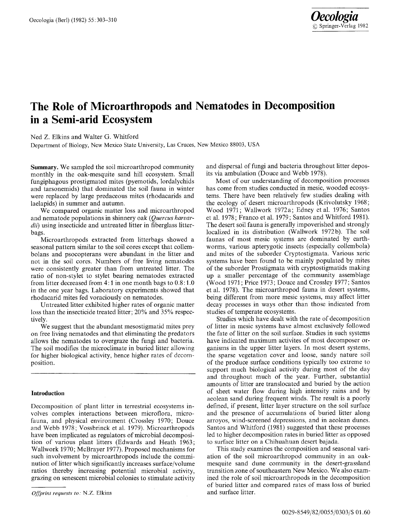## **The Role of Microarthropods and Nematodes in Decomposition in a Semi-arid Ecosystem**

Ned Z. Elkins and Walter G. Whitford

Department of Biology, New Mexico State University, Las Cruces, New Mexico 88003, USA

**Summary.** We sampled the soil microarthropod community monthly in the oak-mesquite sand hill ecosystem. Small fungiphagous prostigmated mites (pyemotids, lordalychids and tarsonemids) that dominated the soil fauna in winter were replaced by large predaceous mites (rhodacarids and laelapids) in summer and autumn.

We compared organic matter loss and microarthropod and nematode populations in shinnery oak *(Quercus harvardii)* using insecticide and untreated litter in fiberglass litterbags.

Microarthropods extracted from litterbags showed a seasonal pattern similar to the soil cores except that collembolans and psocopterans were abundant in the litter and not in the soil cores. Numbers of free living nematodes were consistently greater than from untreated litter. The ratio of non-stylet to stylet bearing nematodes extracted from litter decreased from 4:1 in one month bags to 0.8:1.0 in the one year bags. Laboratory experiments showed that rhodacarid mites fed voraciously on nematodes.

Untreated litter exhibited higher rates of organic matter loss than the insecticide treated litter; 20% and 35% respectively.

We suggest that the abundant mesostigmatid mites prey on free living nematodes and that eliminating the predators allows the nematodes to overgraze the fungi and bacteria. The soil modifies the microclimate in buried litter allowing for higher biological activity, hence higher rates of decomposition.

## **Introduction**

Decomposition of plant litter in terrestrial ecosystems involves complex interactions between microflora, microfauna, and physical environment (Crossley 1970; Douce and Webb 1978; Vossbrinck et al. 1979). Microarthropods have been implicated as regulators of microbial decomposition of various plant litters (Edwards and Heath 1963; Wallwork 1970; McBrayer 1977). Proposed mechanisms for such involvement by microarthropods include the comminution of litter which significantly increases surface/volume ratios thereby increasing potential microbial activity, grazing on senescent microbial colonies to stimulate activity and dispersal of fungi and bacteria throughout litter deposits via ambulation (Douce and Webb 1978).

Most of our understanding of decomposition processes has come from studies conducted in mesic, wooded ecosystems. There have been relatively few studies dealing with the ecology of desert microarthropods (Krivolutsky 1968; Wood 1971; Wallwork 1972a; Edney et al. 1976; Santos et al. 1978; Franco et al. 1979; Santos and Whitford 1981). The desert soil fauna is generally impoverished and strongly localized in its distribution (Wallwork 1972b). The soil faunas of most mesic systems are dominated by earthworms, various apterygotic insects (especially collembola) and mites of the suborder Cryptostigmata. Various xeric systems have been found to be mainly populated by mites of the suborder Prostigmata with cryptostigmatids making up a smaller percentage of the community assemblage (Wood 1971; Price 1973; Douce and Crossley 1977; Santos et al. 1978). The microarthropod fauna in desert systems, being different from more mesic systems, may affect litter decay processes in ways other than those indicated from studies of temperate ecosystems.

Studies which have dealt with the rate of decomposition of litter in mesic systems have almost exclusively followed the fate of litter on the soil surface. Studies in such systems have indicated maximum activites of most decomposer organisms in the upper litter layers. In most desert systems, the sparse vegetation cover and loose, sandy nature soil of the produce surface conditions typically too extreme to support much biological activity during most of the day and throughout much of the year. Further, substantial amounts of litter are translocated and buried by the action of sheet water flow during high intensity rains and by aeolean sand during frequent winds. The result is a poorly defined, if present, litter layer structure on the soil surface and the presence of accumulations of buried litter along arroyos, wind-screened depressions, and in aeolean dunes. Santos and Whitford (1981) suggested that these processes led to higher decomposition rates in buried litter as opposed to surface litter on a Chihuahuan desert bajada.

This study examines the composition and seasonal variation of the soil microarthropod community in an oakmesquite sand dune community in the desert-grassland transition zone of southeastern New Mexico. We also examined the role of soil microarthropods in the decomposition of buried litter and compared rates of mass loss of buried and surface litter.

*Offprint requests to.* N.Z. Elkins